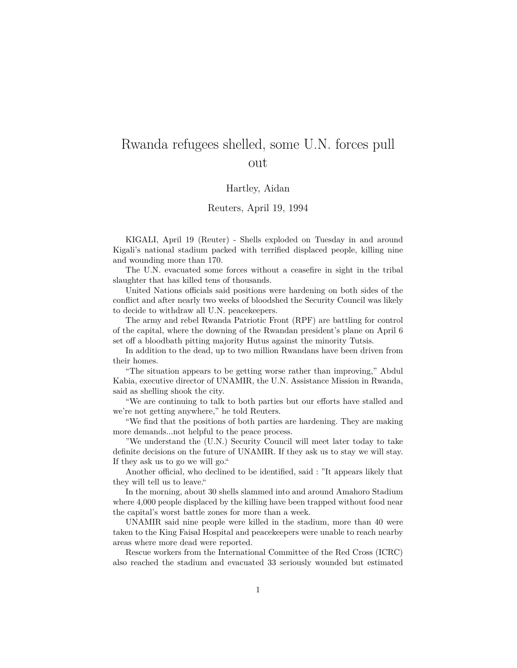## Rwanda refugees shelled, some U.N. forces pull out

## Hartley, Aidan

## Reuters, April 19, 1994

KIGALI, April 19 (Reuter) - Shells exploded on Tuesday in and around Kigali's national stadium packed with terrified displaced people, killing nine and wounding more than 170.

The U.N. evacuated some forces without a ceasefire in sight in the tribal slaughter that has killed tens of thousands.

United Nations officials said positions were hardening on both sides of the conflict and after nearly two weeks of bloodshed the Security Council was likely to decide to withdraw all U.N. peacekeepers.

The army and rebel Rwanda Patriotic Front (RPF) are battling for control of the capital, where the downing of the Rwandan president's plane on April 6 set off a bloodbath pitting majority Hutus against the minority Tutsis.

In addition to the dead, up to two million Rwandans have been driven from their homes.

"The situation appears to be getting worse rather than improving," Abdul Kabia, executive director of UNAMIR, the U.N. Assistance Mission in Rwanda, said as shelling shook the city.

"We are continuing to talk to both parties but our efforts have stalled and we're not getting anywhere," he told Reuters.

"We find that the positions of both parties are hardening. They are making more demands...not helpful to the peace process.

"We understand the (U.N.) Security Council will meet later today to take definite decisions on the future of UNAMIR. If they ask us to stay we will stay. If they ask us to go we will go."

Another official, who declined to be identified, said : "It appears likely that they will tell us to leave."

In the morning, about 30 shells slammed into and around Amahoro Stadium where 4,000 people displaced by the killing have been trapped without food near the capital's worst battle zones for more than a week.

UNAMIR said nine people were killed in the stadium, more than 40 were taken to the King Faisal Hospital and peacekeepers were unable to reach nearby areas where more dead were reported.

Rescue workers from the International Committee of the Red Cross (ICRC) also reached the stadium and evacuated 33 seriously wounded but estimated